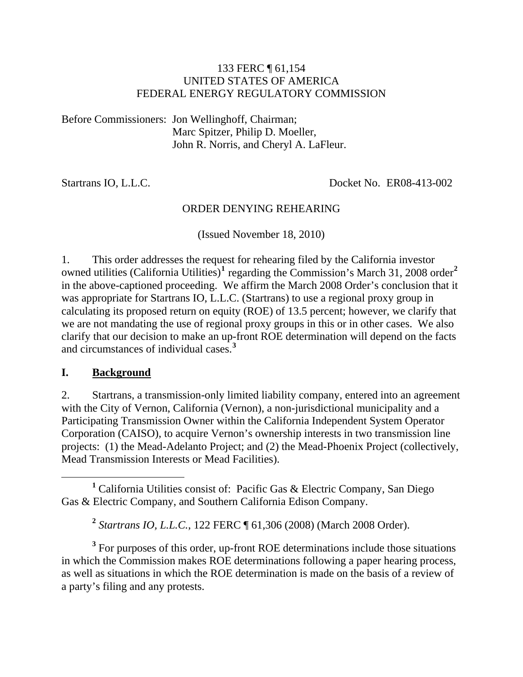#### 133 FERC ¶ 61,154 UNITED STATES OF AMERICA FEDERAL ENERGY REGULATORY COMMISSION

Before Commissioners: Jon Wellinghoff, Chairman; Marc Spitzer, Philip D. Moeller, John R. Norris, and Cheryl A. LaFleur.

Startrans IO, L.L.C. Docket No. ER08-413-002

#### ORDER DENYING REHEARING

(Issued November 18, 2010)

1. This order addresses the request for rehearing filed by the California investor owned utilities (California Utilities)<sup>[1](#page-0-0)</sup> regarding the Commission's March 31, [2](#page-0-1)008 order<sup>2</sup> in the above-captioned proceeding. We affirm the March 2008 Order's conclusion that it was appropriate for Startrans IO, L.L.C. (Startrans) to use a regional proxy group in calculating its proposed return on equity (ROE) of 13.5 percent; however, we clarify that we are not mandating the use of regional proxy groups in this or in other cases. We also clarify that our decision to make an up-front ROE determination will depend on the facts and circumstances of individual cases.**[3](#page-0-2)**

#### **I. Background**

2. Startrans, a transmission-only limited liability company, entered into an agreement with the City of Vernon, California (Vernon), a non-jurisdictional municipality and a Participating Transmission Owner within the California Independent System Operator Corporation (CAISO), to acquire Vernon's ownership interests in two transmission line projects: (1) the Mead-Adelanto Project; and (2) the Mead-Phoenix Project (collectively, Mead Transmission Interests or Mead Facilities).

<span id="page-0-0"></span> $\frac{1}{1}$ <sup>1</sup> California Utilities consist of: Pacific Gas & Electric Company, San Diego Gas & Electric Company, and Southern California Edison Company.

**<sup>2</sup>** *Startrans IO, L.L.C.*, 122 FERC ¶ 61,306 (2008) (March 2008 Order).

<span id="page-0-2"></span><span id="page-0-1"></span><sup>3</sup> For purposes of this order, up-front ROE determinations include those situations in which the Commission makes ROE determinations following a paper hearing process, as well as situations in which the ROE determination is made on the basis of a review of a party's filing and any protests.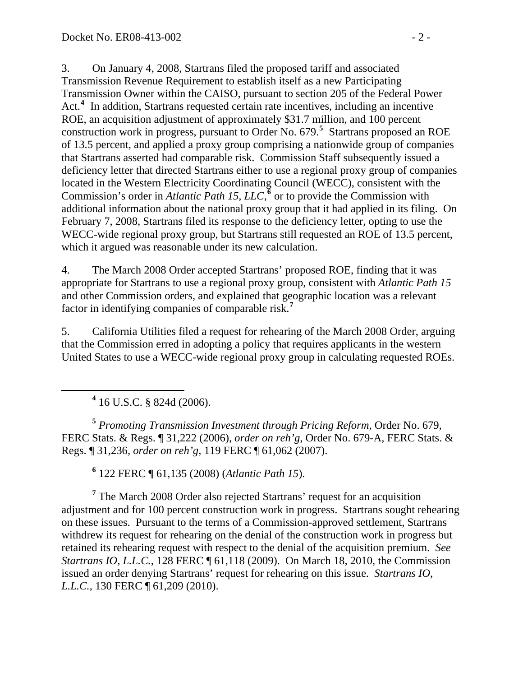3. On January 4, 2008, Startrans filed the proposed tariff and associated Transmission Revenue Requirement to establish itself as a new Participating Transmission Owner within the CAISO, pursuant to section 205 of the Federal Power Act.<sup>[4](#page-1-0)</sup> In addition, Startrans requested certain rate incentives, including an incentive ROE, an acquisition adjustment of approximately \$31.7 million, and 100 percent construction work in progress, pursuant to Order No. 679.<sup>[5](#page-1-1)</sup> Startrans proposed an ROE of 13.5 percent, and applied a proxy group comprising a nationwide group of compani es that Startrans asserted had comparable risk. Commission Staff subsequently issue d a deficiency letter that directed Startrans either to use a regional proxy group of companies located in the Western Electricity Coordinating Council (WECC), consistent with the Commission's order in *Atlantic Path 15, LLC*,<sup> $\epsilon$ </sup> or to provide the Commission with additional information about the national proxy group that it had applied in its filing. On February 7, 2008, Startrans filed its response to the deficiency letter, opting to use the WECC-wide regional proxy group, but Startrans still requested an ROE of 13.5 percent, which it argued was reasonable under its new calculation.

4. The March 2008 Order accepted Startrans' proposed ROE, finding that it was appropriate for Startrans to use a regional proxy group, consistent with *Atlantic Path 15* and other Commission orders, and explained that geographic location was a relevant factor in identifying companies of comparable risk.**[7](#page-1-3)**

5. California Utilities filed a request for rehearing of the March 2008 Order, arguing that the Commission erred in adopting a policy that requires applicants in the western United States to use a WECC-wide regional proxy group in calculating requested ROEs.

**4** 16 U.S.C. § 824d (2006).

<span id="page-1-0"></span> $\overline{a}$ 

<span id="page-1-1"></span>**<sup>5</sup>** *Promoting Transmission Investment through Pricing Reform*, Order No. 679, FERC Stats. & Regs. ¶ 31,222 (2006), *order on reh'g*, Order No. 679-A, FERC Stats. & Regs. ¶ 31,236, *order on reh'g*, 119 FERC ¶ 61,062 (2007).

**6** 122 FERC ¶ 61,135 (2008) (*Atlantic Path 15*).

<span id="page-1-3"></span><span id="page-1-2"></span><sup>7</sup> The March 2008 Order also rejected Startrans' request for an acquisition adjustment and for 100 percent construction work in progress. Startrans sought rehearing on these issues. Pursuant to the terms of a Commission-approved settlement, Startrans withdrew its request for rehearing on the denial of the construction work in progress but retained its rehearing request with respect to the denial of the acquisition premium. *See Startrans IO, L.L.C.*, 128 FERC ¶ 61,118 (2009). On March 18, 2010, the Commission issued an order denying Startrans' request for rehearing on this issue. *Startrans IO, L.L.C.*, 130 FERC ¶ 61,209 (2010).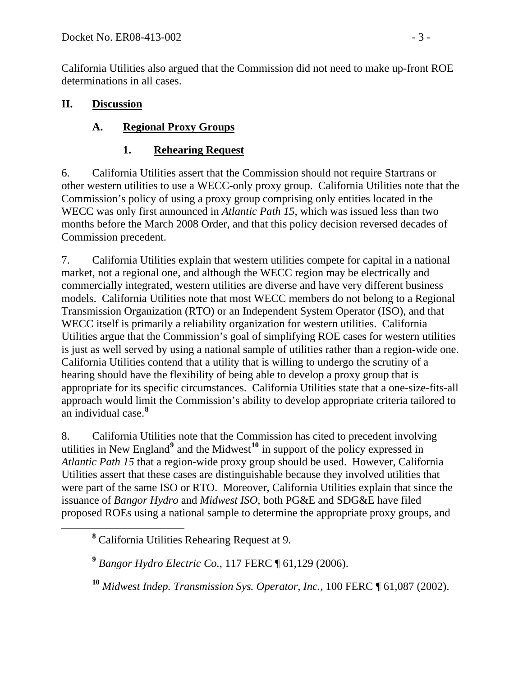California Utilities also argued that the Commission did not need to make up-front ROE determinations in all cases.

### **II. Discussion**

# **A. Regional Proxy Groups**

# **1. Rehearing Request**

6. California Utilities assert that the Commission should not require Startrans or other western utilities to use a WECC-only proxy group. California Utilities note that the Commission's policy of using a proxy group comprising only entities located in the WECC was only first announced in *Atlantic Path 15*, which was issued less than two months before the March 2008 Order, and that this policy decision reversed decades of Commission precedent.

7. California Utilities explain that western utilities compete for capital in a national market, not a regional one, and although the WECC region may be electrically and commercially integrated, western utilities are diverse and have very different business models. California Utilities note that most WECC members do not belong to a Regional Transmission Organization (RTO) or an Independent System Operator (ISO), and that WECC itself is primarily a reliability organization for western utilities. California Utilities argue that the Commission's goal of simplifying ROE cases for western utilities is just as well served by using a national sample of utilities rather than a region-wide one. California Utilities contend that a utility that is willing to undergo the scrutiny of a hearing should have the flexibility of being able to develop a proxy group that is appropriate for its specific circumstances. California Utilities state that a one-size-fits-all approach would limit the Commission's ability to develop appropriate criteria tailored to an individual case.**[8](#page-2-0)**

8. California Utilities note that the Commission has cited to precedent involving utilities in New England<sup>[9](#page-2-1)</sup> and the Midwest<sup>[10](#page-2-2)</sup> in support of the policy expressed in *Atlantic Path 15* that a region-wide proxy group should be used. However, California Utilities assert that these cases are distinguishable because they involved utilities that were part of the same ISO or RTO. Moreover, California Utilities explain that since the issuance of *Bangor Hydro* and *Midwest ISO*, both PG&E and SDG&E have filed proposed ROEs using a national sample to determine the appropriate proxy groups, and

<span id="page-2-2"></span><span id="page-2-1"></span><span id="page-2-0"></span>**<sup>8</sup>** California Utilities Rehearing Request at 9.

**<sup>9</sup>** *Bangor Hydro Electric Co.*, 117 FERC ¶ 61,129 (2006).

**<sup>10</sup>** *Midwest Indep. Transmission Sys. Operator, Inc.*, 100 FERC ¶ 61,087 (2002).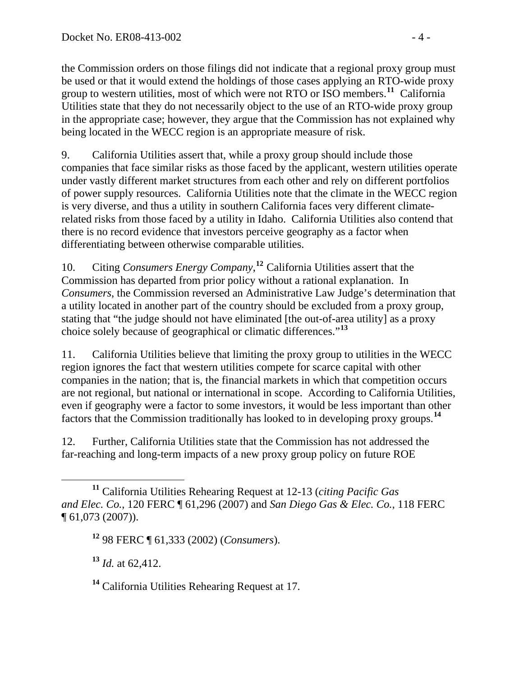the Commission orders on those filings did not indicate that a regional proxy group must be used or that it would extend the holdings of those cases applying an RTO-wide proxy group to western utilities, most of which were not RTO or ISO members.**<sup>11</sup>** California Utilities state that they do not necessarily object to the use of an RTO-wide proxy group in the appropriate case; however, they argue that the Commission has not explained why being located in the WECC region is an appropriate measure of risk.

9. California Utilities assert that, while a proxy group should include those companies that face similar risks as those faced by the applicant, western utilities operate under vastly different market structures from each other and rely on different portfolios of power supply resources. California Utilities note that the climate in the WECC region is very diverse, and thus a utility in southern California faces very different climaterelated risks from those faced by a utility in Idaho. California Utilities also contend that there is no record evidence that investors perceive geography as a factor when differentiating between otherwise comparable utilities.

10. Citing *Consumers Energy Company*, **[12](#page-3-0)** California Utilities assert that the Commission has departed from prior policy without a rational explanation. In *Consumers*, the Commission reversed an Administrative Law Judge's determination that a utility located in another part of the country should be excluded from a proxy group, stating that "the judge should not have eliminated [the out-of-area utility] as a proxy choice solely because of geographical or climatic differences."**[13](#page-3-1)**

11. California Utilities believe that limiting the proxy group to utilities in the WECC region ignores the fact that western utilities compete for scarce capital with other companies in the nation; that is, the financial markets in which that competition occurs are not regional, but national or international in scope. According to California Utilities, even if geography were a factor to some investors, it would be less important than other factors that the Commission traditionally has looked to in developing proxy groups.**[14](#page-3-2)**

12. Further, California Utilities state that the Commission has not addressed the far-reaching and long-term impacts of a new proxy group policy on future ROE

<span id="page-3-1"></span>**<sup>13</sup>** *Id.* at 62,412.

<span id="page-3-2"></span>**<sup>14</sup>** California Utilities Rehearing Request at 17.

<span id="page-3-0"></span>**<sup>11</sup>** California Utilities Rehearing Request at 12-13 (*citing Pacific Gas and Elec. Co.*, 120 FERC ¶ 61,296 (2007) and *San Diego Gas & Elec. Co.*, 118 FERC ¶ 61,073 (2007)).

**<sup>12</sup>** 98 FERC ¶ 61,333 (2002) (*Consumers*).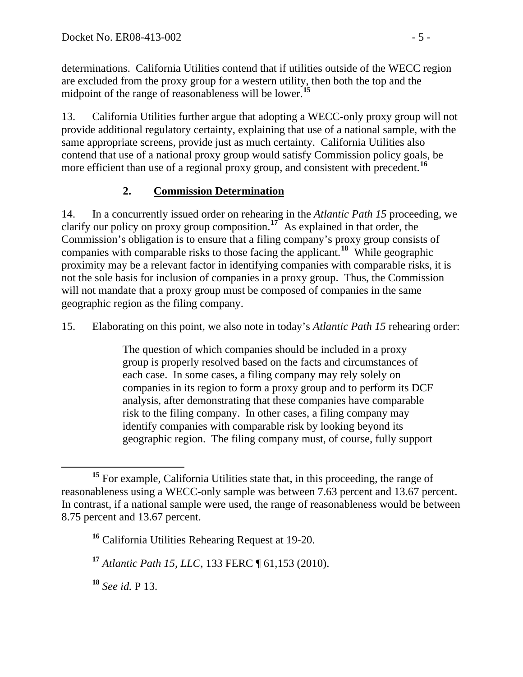determinations. California Utilities contend that if utilities outside of the WECC region are excluded from the proxy group for a western utility, then both the top and the midpoint of the range of reasonableness will be lower.**<sup>15</sup>**

13. California Utilities further argue that adopting a WECC-only proxy group will not provide additional regulatory certainty, explaining that use of a national sample, with the same appropriate screens, provide just as much certainty. California Utilities also contend that use of a national proxy group would satisfy Commission policy goals, be more efficient than use of a regional proxy group, and consistent with precedent.<sup>[16](#page-4-0)</sup>

## **2. Commission Determination**

14. In a concurrently issued order on rehearing in the *Atlantic Path 15* proceeding, we clarify our policy on proxy group composition.**[17](#page-4-1)** As explained in that order, the Commission's obligation is to ensure that a filing company's proxy group consists of companies with comparable risks to those facing the applicant.**[18](#page-4-2)** While geographic proximity may be a relevant factor in identifying companies with comparable risks, it is not the sole basis for inclusion of companies in a proxy group. Thus, the Commission will not mandate that a proxy group must be composed of companies in the same geographic region as the filing company.

15. Elaborating on this point, we also note in today's *Atlantic Path 15* rehearing order:

The question of which companies should be included in a proxy group is properly resolved based on the facts and circumstances of each case. In some cases, a filing company may rely solely on companies in its region to form a proxy group and to perform its DCF analysis, after demonstrating that these companies have comparable risk to the filing company. In other cases, a filing company may identify companies with comparable risk by looking beyond its geographic region. The filing company must, of course, fully support

<span id="page-4-2"></span>**<sup>18</sup>** *See id.* P 13.

<span id="page-4-0"></span>**<sup>15</sup>** For example, California Utilities state that, in this proceeding, the range of reasonableness using a WECC-only sample was between 7.63 percent and 13.67 percent. In contrast, if a national sample were used, the range of reasonableness would be between 8.75 percent and 13.67 percent.

**<sup>16</sup>** California Utilities Rehearing Request at 19-20.

<span id="page-4-1"></span>**<sup>17</sup>** *Atlantic Path 15, LLC*, 133 FERC ¶ 61,153 (2010).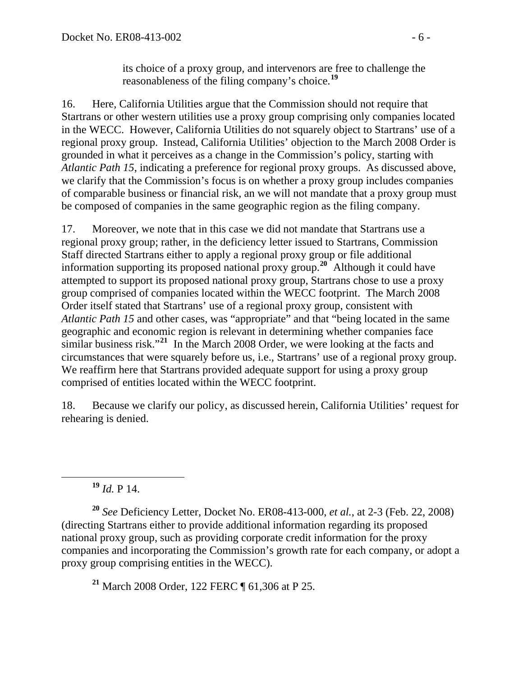its choice of a proxy group, and intervenors are free to challenge the reasonableness of the filing company's choice.**[19](#page-5-0)**

16. Here, California Utilities argue that the Commission should not require that Startrans or other western utilities use a proxy group comprising only companies located in the WECC. However, California Utilities do not squarely object to Startrans' use of a regional proxy group. Instead, California Utilities' objection to the March 2008 Order is grounded in what it perceives as a change in the Commission's policy, starting with *Atlantic Path 15*, indicating a preference for regional proxy groups. As discussed above, we clarify that the Commission's focus is on whether a proxy group includes companies of comparable business or financial risk, an we will not mandate that a proxy group must be composed of companies in the same geographic region as the filing company.

17. Moreover, we note that in this case we did not mandate that Startrans use a regional proxy group; rather, in the deficiency letter issued to Startrans, Commission Staff directed Startrans either to apply a regional proxy group or file additional information supporting its proposed national proxy group.**[20](#page-5-1)** Although it could have attempted to support its proposed national proxy group, Startrans chose to use a proxy group comprised of companies located within the WECC footprint. The March 2008 Order itself stated that Startrans' use of a regional proxy group, consistent with *Atlantic Path 15* and other cases, was "appropriate" and that "being located in the same geographic and economic region is relevant in determining whether companies face similar business risk."**[21](#page-5-2)** In the March 2008 Order, we were looking at the facts and circumstances that were squarely before us, i.e., Startrans' use of a regional proxy group. We reaffirm here that Startrans provided adequate support for using a proxy group comprised of entities located within the WECC footprint.

18. Because we clarify our policy, as discussed herein, California Utilities' request for rehearing is denied.

**<sup>19</sup>** *Id.* P 14.

<span id="page-5-1"></span><span id="page-5-0"></span>**<sup>20</sup>** *See* Deficiency Letter, Docket No. ER08-413-000, *et al.*, at 2-3 (Feb. 22, 2008) (directing Startrans either to provide additional information regarding its proposed national proxy group, such as providing corporate credit information for the proxy companies and incorporating the Commission's growth rate for each company, or adopt a proxy group comprising entities in the WECC).

<span id="page-5-2"></span>**<sup>21</sup>** March 2008 Order, 122 FERC ¶ 61,306 at P 25.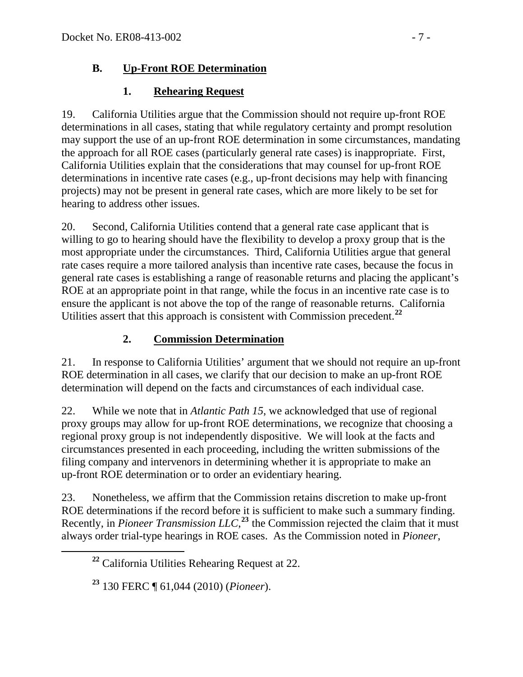## **B. Up-Front ROE Determination**

## **1. Rehearing Request**

19. California Utilities argue that the Commission should not require up-front ROE determinations in all cases, stating that while regulatory certainty and prompt resolution may support the use of an up-front ROE determination in some circumstances, mandating the approach for all ROE cases (particularly general rate cases) is inappropriate. First, California Utilities explain that the considerations that may counsel for up-front ROE determinations in incentive rate cases (e.g., up-front decisions may help with financing projects) may not be present in general rate cases, which are more likely to be set for hearing to address other issues.

20. Second, California Utilities contend that a general rate case applicant that is willing to go to hearing should have the flexibility to develop a proxy group that is the most appropriate under the circumstances. Third, California Utilities argue that general rate cases require a more tailored analysis than incentive rate cases, because the focus in general rate cases is establishing a range of reasonable returns and placing the applicant's ROE at an appropriate point in that range, while the focus in an incentive rate case is to ensure the applicant is not above the top of the range of reasonable returns. California Utilities assert that this approach is consistent with Commission precedent.**[22](#page-6-0)**

# **2. Commission Determination**

21. In response to California Utilities' argument that we should not require an up-front ROE determination in all cases, we clarify that our decision to make an up-front ROE determination will depend on the facts and circumstances of each individual case.

22. While we note that in *Atlantic Path 15*, we acknowledged that use of regional proxy groups may allow for up-front ROE determinations, we recognize that choosing a regional proxy group is not independently dispositive. We will look at the facts and circumstances presented in each proceeding, including the written submissions of the filing company and intervenors in determining whether it is appropriate to make an up-front ROE determination or to order an evidentiary hearing.

<span id="page-6-0"></span>23. Nonetheless, we affirm that the Commission retains discretion to make up-front ROE determinations if the record before it is sufficient to make such a summary finding. Recently, in *Pioneer Transmission LLC*,<sup>[23](#page-6-1)</sup> the Commission rejected the claim that it must always order trial-type hearings in ROE cases. As the Commission noted in *Pioneer*,

**<sup>22</sup>** California Utilities Rehearing Request at 22.

<span id="page-6-1"></span>**<sup>23</sup>** 130 FERC ¶ 61,044 (2010) (*Pioneer*).